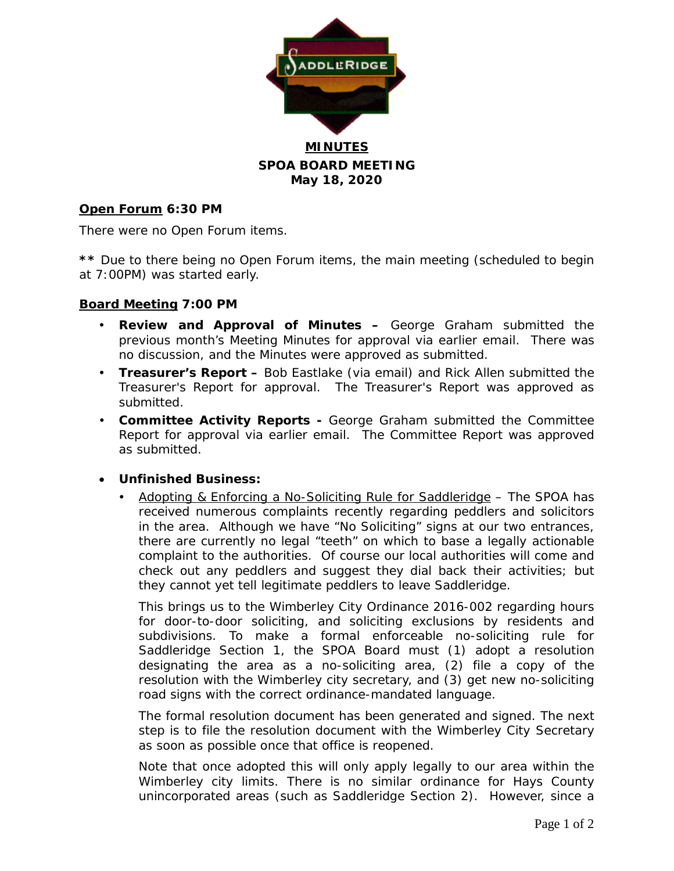

## **SPOA BOARD MEETING May 18, 2020**

#### **Open Forum 6:30 PM**

There were no Open Forum items.

**\*\*** Due to there being no Open Forum items, the main meeting (scheduled to begin at 7:00PM) was started early.

#### **Board Meeting 7:00 PM**

- **Review and Approval of Minutes –** George Graham submitted the previous month's Meeting Minutes for approval via earlier email. There was no discussion, and the Minutes were approved as submitted.
- **Treasurer's Report –** Bob Eastlake (via email) and Rick Allen submitted the Treasurer's Report for approval. The Treasurer's Report was approved as submitted.
- **Committee Activity Reports -** George Graham submitted the Committee Report for approval via earlier email. The Committee Report was approved as submitted.

#### • **Unfinished Business:**

 Adopting & Enforcing a No-Soliciting Rule for Saddleridge – The SPOA has received numerous complaints recently regarding peddlers and solicitors in the area. Although we have "No Soliciting" signs at our two entrances, there are currently no legal "teeth" on which to base a legally actionable complaint to the authorities. Of course our local authorities will come and check out any peddlers and suggest they dial back their activities; but they cannot yet tell legitimate peddlers to leave Saddleridge.

This brings us to the Wimberley City Ordinance 2016-002 regarding hours for door-to-door soliciting, and soliciting exclusions by residents and subdivisions. To make a formal enforceable no-soliciting rule for Saddleridge Section 1, the SPOA Board must (1) adopt a resolution designating the area as a no-soliciting area, (2) file a copy of the resolution with the Wimberley city secretary, and (3) get new no-soliciting road signs with the correct ordinance-mandated language.

The formal resolution document has been generated and signed. The next step is to file the resolution document with the Wimberley City Secretary as soon as possible once that office is reopened.

Note that once adopted this will only apply legally to our area within the Wimberley city limits. There is no similar ordinance for Hays County unincorporated areas (such as Saddleridge Section 2). However, since a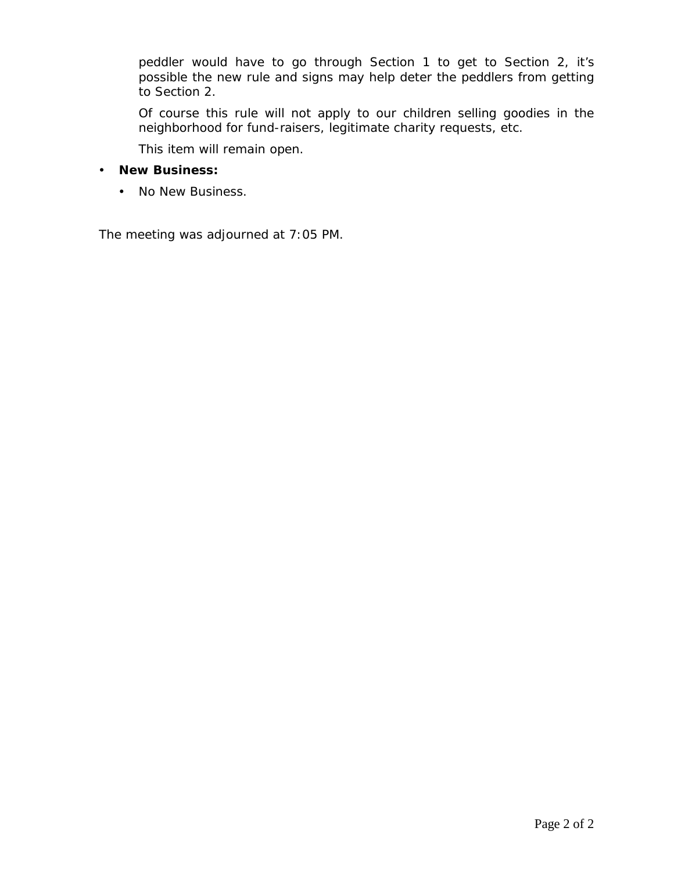peddler would have to go through Section 1 to get to Section 2, it's possible the new rule and signs may help deter the peddlers from getting to Section 2.

Of course this rule will not apply to our children selling goodies in the neighborhood for fund-raisers, legitimate charity requests, etc.

This item will remain open.

- **New Business:**
	- No New Business.

The meeting was adjourned at 7:05 PM.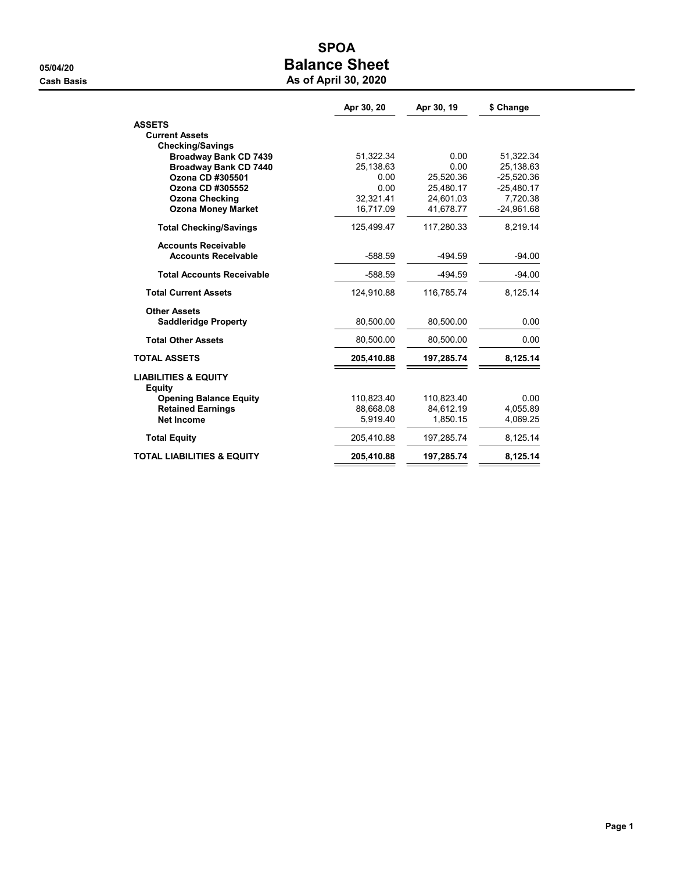## SPOA 05/04/20 **Balance Sheet Cash Basis** Cash Basis **As of April 30, 2020**

|                                                  | Apr 30, 20 | Apr 30, 19 | \$ Change    |
|--------------------------------------------------|------------|------------|--------------|
| <b>ASSETS</b>                                    |            |            |              |
| <b>Current Assets</b>                            |            |            |              |
| <b>Checking/Savings</b>                          |            |            |              |
| <b>Broadway Bank CD 7439</b>                     | 51,322.34  | 0.00       | 51,322.34    |
| <b>Broadway Bank CD 7440</b>                     | 25,138.63  | 0.00       | 25,138.63    |
| Ozona CD #305501                                 | 0.00       | 25.520.36  | $-25,520.36$ |
| Ozona CD #305552                                 | 0.00       | 25,480.17  | $-25,480.17$ |
| <b>Ozona Checking</b>                            | 32,321.41  | 24,601.03  | 7,720.38     |
| <b>Ozona Money Market</b>                        | 16,717.09  | 41,678.77  | $-24,961.68$ |
| <b>Total Checking/Savings</b>                    | 125,499.47 | 117,280.33 | 8,219.14     |
| <b>Accounts Receivable</b>                       |            |            |              |
| <b>Accounts Receivable</b>                       | $-588.59$  | $-494.59$  | $-94.00$     |
| <b>Total Accounts Receivable</b>                 | $-588.59$  | $-494.59$  | $-94.00$     |
| <b>Total Current Assets</b>                      | 124,910.88 | 116,785.74 | 8,125.14     |
| <b>Other Assets</b>                              |            |            |              |
| <b>Saddleridge Property</b>                      | 80,500.00  | 80,500.00  | 0.00         |
| <b>Total Other Assets</b>                        | 80,500.00  | 80,500.00  | 0.00         |
| <b>TOTAL ASSETS</b>                              | 205,410.88 | 197,285.74 | 8,125.14     |
| <b>LIABILITIES &amp; EQUITY</b><br><b>Equity</b> |            |            |              |
| <b>Opening Balance Equity</b>                    | 110,823.40 | 110,823.40 | 0.00         |
| <b>Retained Earnings</b>                         | 88,668.08  | 84.612.19  | 4.055.89     |
| <b>Net Income</b>                                | 5,919.40   | 1,850.15   | 4,069.25     |
| <b>Total Equity</b>                              | 205,410.88 | 197,285.74 | 8,125.14     |
| <b>TOTAL LIABILITIES &amp; EQUITY</b>            | 205,410.88 | 197,285.74 | 8,125.14     |
|                                                  |            |            |              |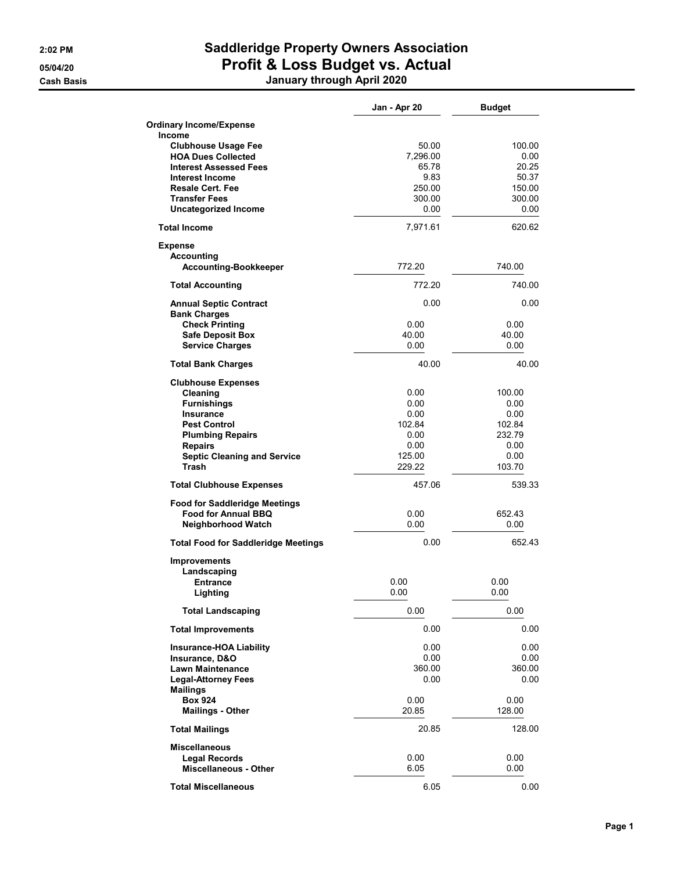# 2:02 PM Saddleridge Property Owners Association 05/04/20 **Profit & Loss Budget vs. Actual**

| January through April 2020           |              |               |
|--------------------------------------|--------------|---------------|
|                                      | Jan - Apr 20 | <b>Budget</b> |
| <b>Ordinary Income/Expense</b>       |              |               |
| <b>Income</b>                        |              |               |
| <b>Clubhouse Usage Fee</b>           | 50.00        | 100.00        |
| <b>HOA Dues Collected</b>            | 7,296.00     | 0.00          |
| <b>Interest Assessed Fees</b>        | 65.78        | 20.25         |
| Interest Income                      | 9.83         | 50.37         |
| <b>Resale Cert. Fee</b>              | 250.00       | 150.00        |
| <b>Transfer Fees</b>                 | 300.00       | 300.00        |
| <b>Uncategorized Income</b>          | 0.00         | 0.00          |
| <b>Total Income</b>                  | 7,971.61     | 620.62        |
| <b>Expense</b>                       |              |               |
| Accounting                           |              |               |
| <b>Accounting-Bookkeeper</b>         | 772.20       | 740.00        |
| <b>Total Accounting</b>              | 772.20       | 740.00        |
| <b>Annual Septic Contract</b>        | 0.00         | 0.00          |
| <b>Bank Charges</b>                  |              |               |
| <b>Check Printing</b>                | 0.00         | 0.00          |
| <b>Safe Deposit Box</b>              | 40.00        | 40.00         |
| <b>Service Charges</b>               | 0.00         | 0.00          |
| <b>Total Bank Charges</b>            | 40.00        | 40.00         |
| <b>Clubhouse Expenses</b>            |              |               |
| Cleaning                             | 0.00         | 100.00        |
| <b>Furnishings</b>                   | 0.00         | 0.00          |
| <b>Insurance</b>                     | 0.00         | 0.00          |
| <b>Pest Control</b>                  | 102.84       | 102.84        |
| <b>Plumbing Repairs</b>              | 0.00         | 232.79        |
| <b>Repairs</b>                       | 0.00         | 0.00          |
| <b>Septic Cleaning and Service</b>   | 125.00       | 0.00          |
| Trash                                | 229.22       | 103.70        |
| <b>Total Clubhouse Expenses</b>      | 457.06       | 539.33        |
| <b>Food for Saddleridge Meetings</b> |              |               |
| <b>Food for Annual BBQ</b>           | 0.00         | 652.43        |
| <b>Neighborhood Watch</b>            | 0.00         | 0.00          |

Total Food for Saddleridge Meetings 0.00 652.43

| <b>Improvements</b>                              |              |              |
|--------------------------------------------------|--------------|--------------|
| Landscaping<br><b>Entrance</b><br>Lighting       | 0.00<br>0.00 | 0.00<br>0.00 |
| <b>Total Landscaping</b>                         | 0.00         | 0.00         |
| <b>Total Improvements</b>                        | 0.00         | 0.00         |
| <b>Insurance-HOA Liability</b><br>Insurance, D&O | 0.00<br>0.00 | 0.00<br>0.00 |
| <b>Lawn Maintenance</b>                          | 360.00       | 360.00       |
| <b>Legal-Attorney Fees</b><br><b>Mailings</b>    | 0.00         | 0.00         |
| <b>Box 924</b>                                   | 0.00         | 0.00         |
| <b>Mailings - Other</b>                          | 20.85        | 128.00       |
| <b>Total Mailings</b>                            | 20.85        | 128.00       |
| <b>Miscellaneous</b>                             |              |              |
| <b>Legal Records</b>                             | 0.00         | 0.00         |
| <b>Miscellaneous - Other</b>                     | 6.05         | 0.00         |
| <b>Total Miscellaneous</b>                       | 6.05         | 0.00         |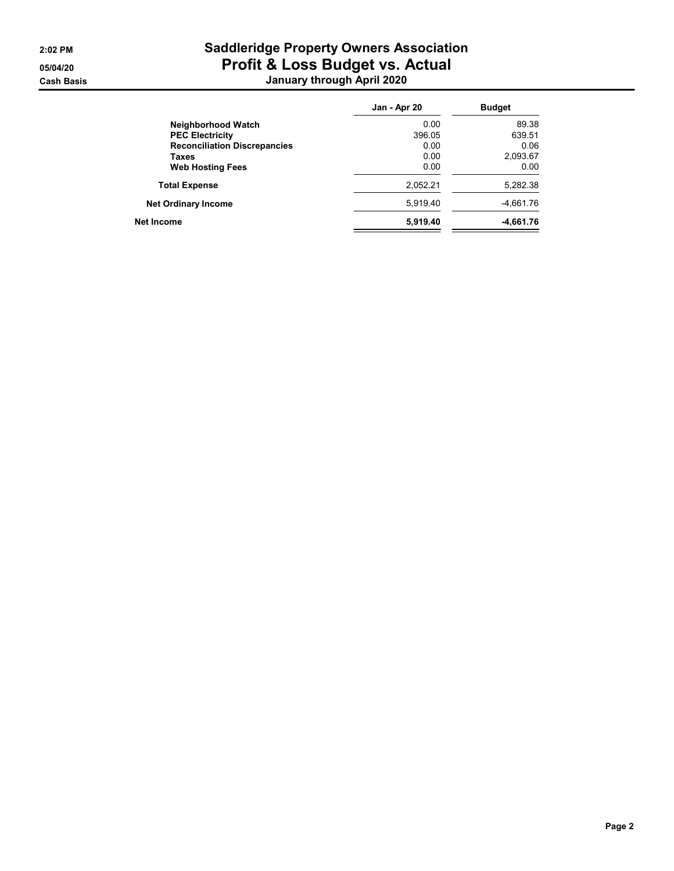# 2:02 PM Saddleridge Property Owners Association 05/04/20 **Profit & Loss Budget vs. Actual** Cash Basis January through April 2020

|                                     | Jan - Apr 20 | <b>Budget</b> |
|-------------------------------------|--------------|---------------|
| <b>Neighborhood Watch</b>           | 0.00         | 89.38         |
| <b>PEC Electricity</b>              | 396.05       | 639.51        |
| <b>Reconciliation Discrepancies</b> | 0.00         | 0.06          |
| Taxes                               | 0.00         | 2,093.67      |
| <b>Web Hosting Fees</b>             | 0.00         | 0.00          |
| <b>Total Expense</b>                | 2,052.21     | 5,282.38      |
| <b>Net Ordinary Income</b>          | 5.919.40     | -4,661.76     |
| Net Income                          | 5,919.40     | -4,661.76     |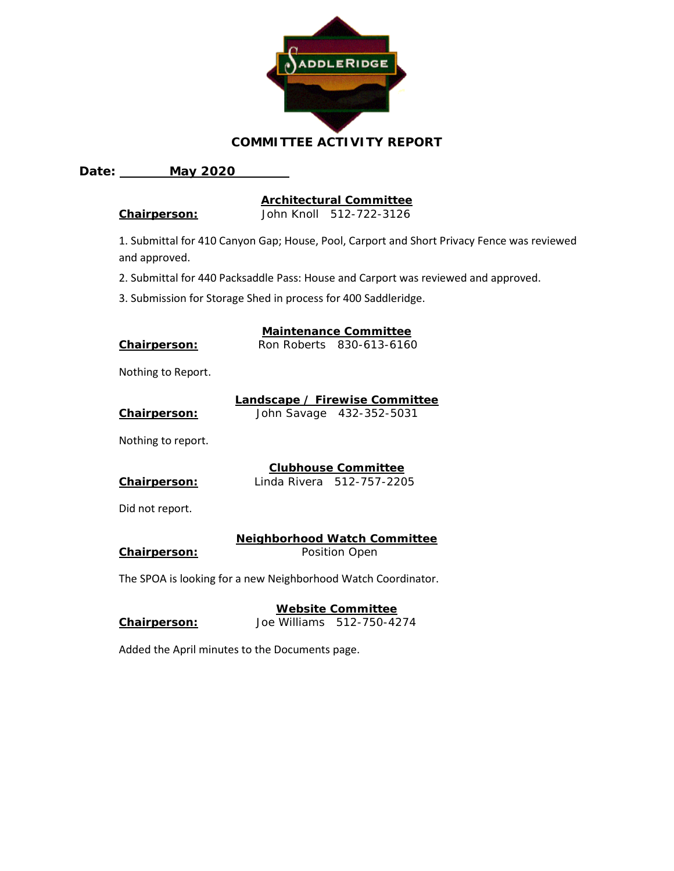

#### **COMMITTEE ACTIVITY REPORT**

#### **Date: May 2020**

#### **Architectural Committee**

**Chairperson:** John Knoll 512-722-3126

1. Submittal for 410 Canyon Gap; House, Pool, Carport and Short Privacy Fence was reviewed and approved.

2. Submittal for 440 Packsaddle Pass: House and Carport was reviewed and approved.

**Maintenance Committee**

3. Submission for Storage Shed in process for 400 Saddleridge.

| Chairperson: | Ron Roberts 830-613-6160 |
|--------------|--------------------------|

Nothing to Report.

|                     | Landscape / Firewise Committee |
|---------------------|--------------------------------|
| <b>Chairperson:</b> | John Savage 432-352-5031       |

Nothing to report.

# **Clubhouse Committee**

**Chairperson:** Linda Rivera 512-757-2205

Did not report.

### **Neighborhood Watch Committee**

**Chairperson:** Position Open

The SPOA is looking for a new Neighborhood Watch Coordinator.

#### **Website Committee Chairperson:** Joe Williams 512-750-4274

Added the April minutes to the Documents page.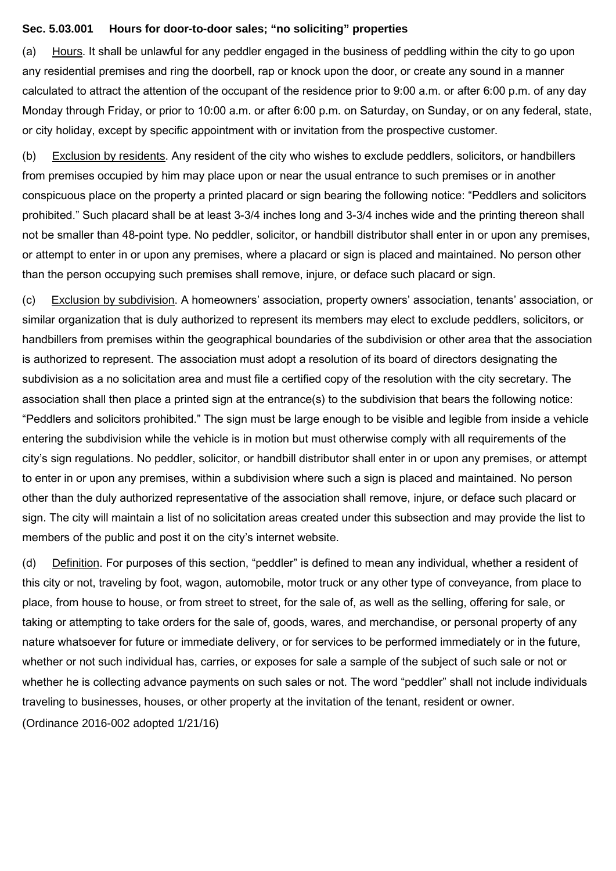#### **Sec. 5.03.001 Hours for door-to-door sales; "no soliciting" properties**

(a) Hours. It shall be unlawful for any peddler engaged in the business of peddling within the city to go upon any residential premises and ring the doorbell, rap or knock upon the door, or create any sound in a manner calculated to attract the attention of the occupant of the residence prior to 9:00 a.m. or after 6:00 p.m. of any day Monday through Friday, or prior to 10:00 a.m. or after 6:00 p.m. on Saturday, on Sunday, or on any federal, state, or city holiday, except by specific appointment with or invitation from the prospective customer.

(b) Exclusion by residents. Any resident of the city who wishes to exclude peddlers, solicitors, or handbillers from premises occupied by him may place upon or near the usual entrance to such premises or in another conspicuous place on the property a printed placard or sign bearing the following notice: "Peddlers and solicitors prohibited." Such placard shall be at least 3-3/4 inches long and 3-3/4 inches wide and the printing thereon shall not be smaller than 48-point type. No peddler, solicitor, or handbill distributor shall enter in or upon any premises, or attempt to enter in or upon any premises, where a placard or sign is placed and maintained. No person other than the person occupying such premises shall remove, injure, or deface such placard or sign.

(c) Exclusion by subdivision. A homeowners' association, property owners' association, tenants' association, or similar organization that is duly authorized to represent its members may elect to exclude peddlers, solicitors, or handbillers from premises within the geographical boundaries of the subdivision or other area that the association is authorized to represent. The association must adopt a resolution of its board of directors designating the subdivision as a no solicitation area and must file a certified copy of the resolution with the city secretary. The association shall then place a printed sign at the entrance(s) to the subdivision that bears the following notice: "Peddlers and solicitors prohibited." The sign must be large enough to be visible and legible from inside a vehicle entering the subdivision while the vehicle is in motion but must otherwise comply with all requirements of the city's sign regulations. No peddler, solicitor, or handbill distributor shall enter in or upon any premises, or attempt to enter in or upon any premises, within a subdivision where such a sign is placed and maintained. No person other than the duly authorized representative of the association shall remove, injure, or deface such placard or sign. The city will maintain a list of no solicitation areas created under this subsection and may provide the list to members of the public and post it on the city's internet website.

(d) Definition. For purposes of this section, "peddler" is defined to mean any individual, whether a resident of this city or not, traveling by foot, wagon, automobile, motor truck or any other type of conveyance, from place to place, from house to house, or from street to street, for the sale of, as well as the selling, offering for sale, or taking or attempting to take orders for the sale of, goods, wares, and merchandise, or personal property of any nature whatsoever for future or immediate delivery, or for services to be performed immediately or in the future, whether or not such individual has, carries, or exposes for sale a sample of the subject of such sale or not or whether he is collecting advance payments on such sales or not. The word "peddler" shall not include individuals traveling to businesses, houses, or other property at the invitation of the tenant, resident or owner. (Ordinance 2016-002 adopted 1/21/16)